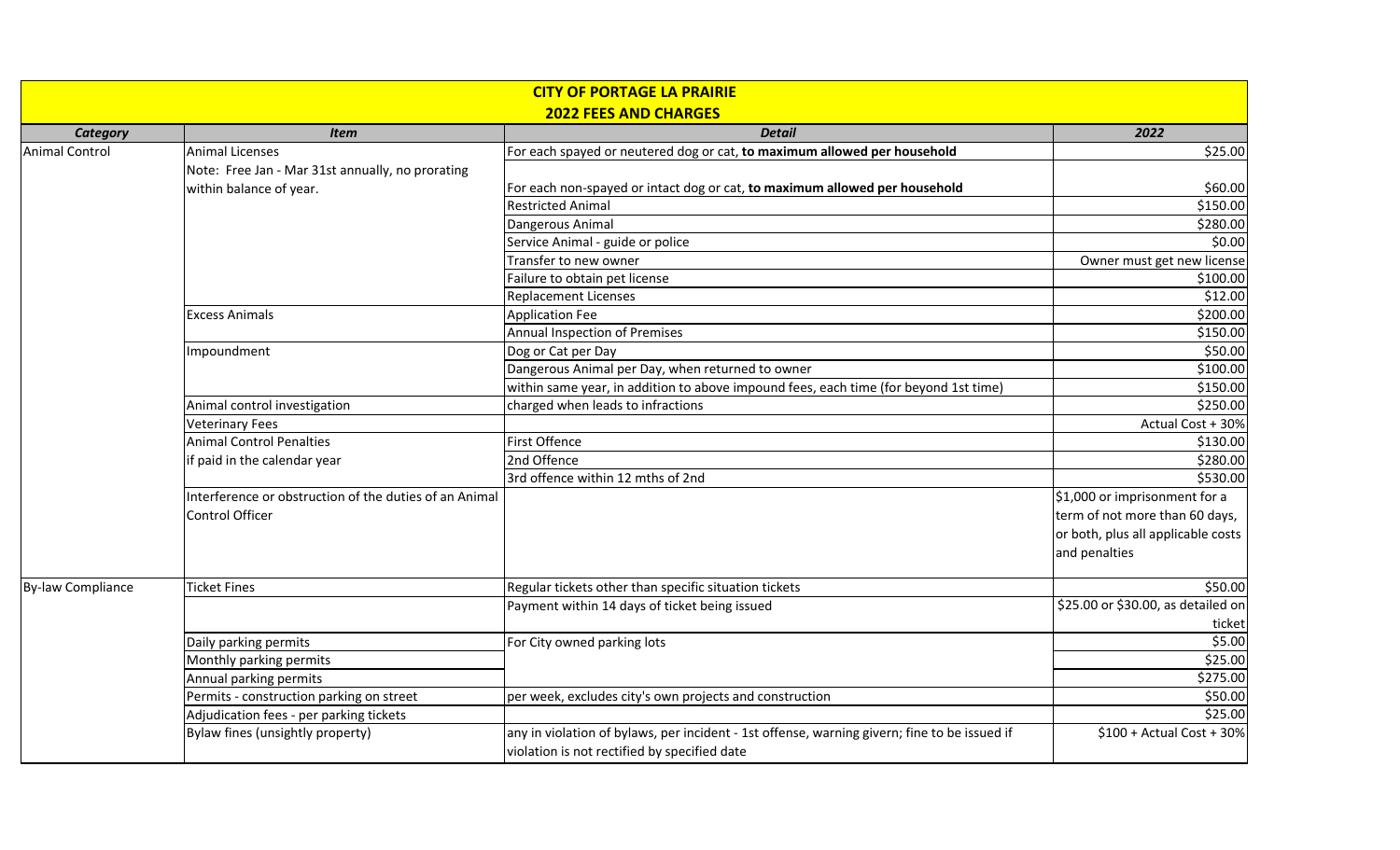| <b>CITY OF PORTAGE LA PRAIRIE</b> |                                                                   |                                                                                                                                              |                                    |  |  |  |
|-----------------------------------|-------------------------------------------------------------------|----------------------------------------------------------------------------------------------------------------------------------------------|------------------------------------|--|--|--|
| <b>2022 FEES AND CHARGES</b>      |                                                                   |                                                                                                                                              |                                    |  |  |  |
| <b>Category</b>                   | <b>Item</b>                                                       | <b>Detail</b>                                                                                                                                | 2022                               |  |  |  |
| <b>Animal Control</b>             | <b>Animal Licenses</b>                                            | For each spayed or neutered dog or cat, to maximum allowed per household                                                                     | \$25.00                            |  |  |  |
|                                   | Note: Free Jan - Mar 31st annually, no prorating                  |                                                                                                                                              |                                    |  |  |  |
|                                   | within balance of year.                                           | For each non-spayed or intact dog or cat, to maximum allowed per household                                                                   | \$60.00                            |  |  |  |
|                                   |                                                                   | <b>Restricted Animal</b>                                                                                                                     | \$150.00                           |  |  |  |
|                                   |                                                                   | Dangerous Animal                                                                                                                             | \$280.00                           |  |  |  |
|                                   |                                                                   | Service Animal - guide or police                                                                                                             | \$0.00                             |  |  |  |
|                                   |                                                                   | Transfer to new owner                                                                                                                        | Owner must get new license         |  |  |  |
|                                   |                                                                   | Failure to obtain pet license                                                                                                                | \$100.00                           |  |  |  |
|                                   |                                                                   | <b>Replacement Licenses</b>                                                                                                                  | \$12.00                            |  |  |  |
|                                   | <b>Excess Animals</b>                                             | <b>Application Fee</b>                                                                                                                       | \$200.00                           |  |  |  |
|                                   |                                                                   | Annual Inspection of Premises                                                                                                                | \$150.00                           |  |  |  |
|                                   | Impoundment                                                       | Dog or Cat per Day                                                                                                                           | \$50.00                            |  |  |  |
|                                   |                                                                   | Dangerous Animal per Day, when returned to owner                                                                                             | \$100.00                           |  |  |  |
|                                   |                                                                   | within same year, in addition to above impound fees, each time (for beyond 1st time)                                                         | \$150.00                           |  |  |  |
|                                   | Animal control investigation<br>charged when leads to infractions |                                                                                                                                              | \$250.00                           |  |  |  |
|                                   | <b>Veterinary Fees</b>                                            |                                                                                                                                              | Actual Cost + 30%                  |  |  |  |
|                                   | <b>Animal Control Penalties</b>                                   | <b>First Offence</b>                                                                                                                         | \$130.00                           |  |  |  |
|                                   | if paid in the calendar year                                      | 2nd Offence                                                                                                                                  | \$280.00                           |  |  |  |
|                                   |                                                                   | 3rd offence within 12 mths of 2nd                                                                                                            | \$530.00                           |  |  |  |
|                                   | Interference or obstruction of the duties of an Animal            |                                                                                                                                              | \$1,000 or imprisonment for a      |  |  |  |
|                                   | <b>Control Officer</b>                                            |                                                                                                                                              | term of not more than 60 days,     |  |  |  |
|                                   |                                                                   |                                                                                                                                              | or both, plus all applicable costs |  |  |  |
|                                   |                                                                   |                                                                                                                                              | and penalties                      |  |  |  |
| By-law Compliance                 | <b>Ticket Fines</b>                                               | Regular tickets other than specific situation tickets                                                                                        | \$50.00                            |  |  |  |
|                                   |                                                                   | Payment within 14 days of ticket being issued                                                                                                | \$25.00 or \$30.00, as detailed on |  |  |  |
|                                   |                                                                   |                                                                                                                                              | ticket                             |  |  |  |
|                                   | Daily parking permits                                             | For City owned parking lots                                                                                                                  | \$5.00                             |  |  |  |
|                                   | Monthly parking permits                                           |                                                                                                                                              | \$25.00                            |  |  |  |
|                                   | Annual parking permits                                            |                                                                                                                                              | \$275.00                           |  |  |  |
|                                   | Permits - construction parking on street                          | per week, excludes city's own projects and construction                                                                                      | \$50.00                            |  |  |  |
|                                   | Adjudication fees - per parking tickets                           |                                                                                                                                              | \$25.00                            |  |  |  |
|                                   | Bylaw fines (unsightly property)                                  | any in violation of bylaws, per incident - 1st offense, warning givern; fine to be issued if<br>violation is not rectified by specified date | $$100 + Actual Cost + 30%$         |  |  |  |
|                                   |                                                                   |                                                                                                                                              |                                    |  |  |  |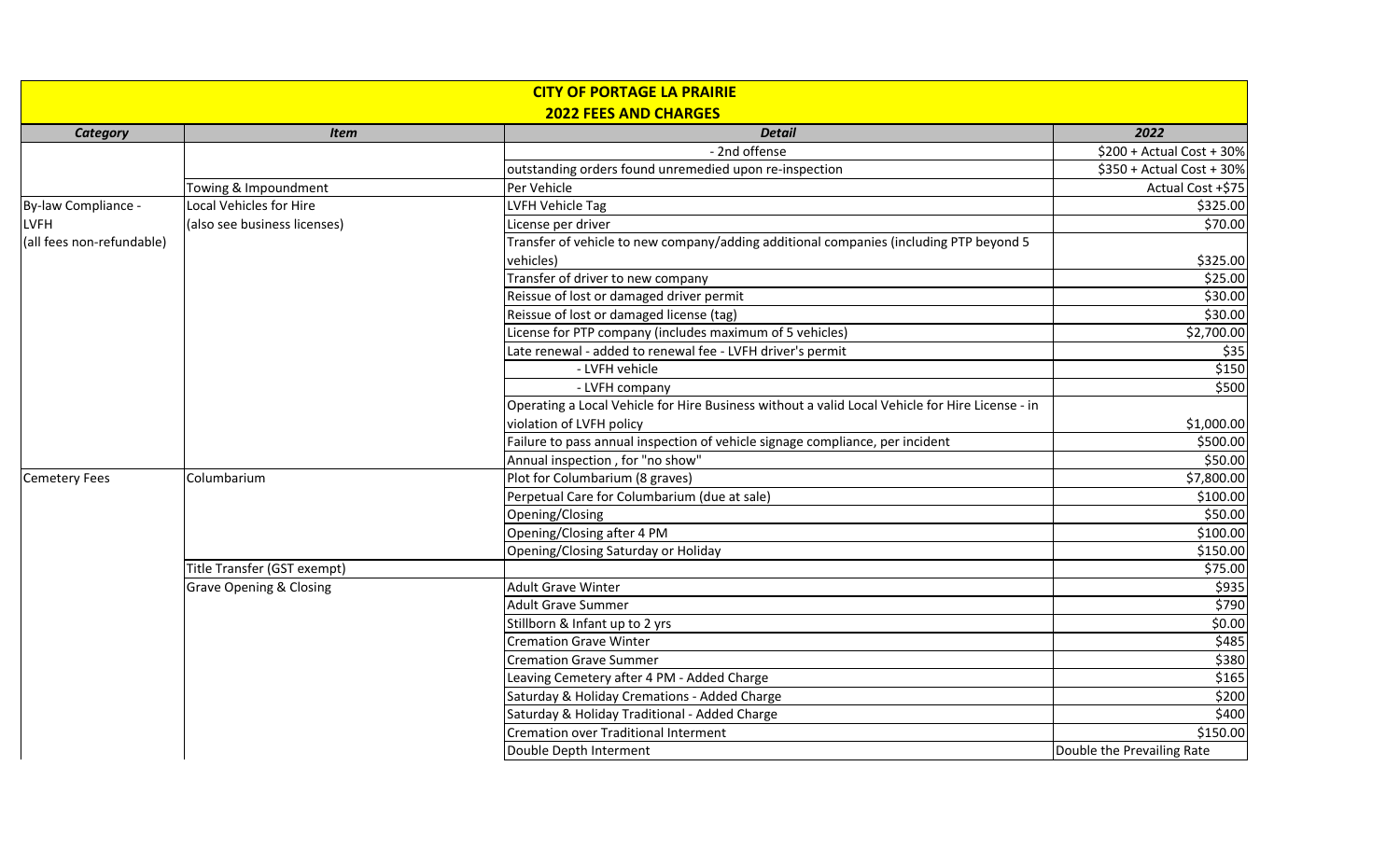| <b>CITY OF PORTAGE LA PRAIRIE</b><br><b>2022 FEES AND CHARGES</b> |                                    |                                                                                                 |                            |  |  |
|-------------------------------------------------------------------|------------------------------------|-------------------------------------------------------------------------------------------------|----------------------------|--|--|
| <b>Category</b>                                                   | <b>Detail</b><br><b>Item</b>       |                                                                                                 |                            |  |  |
|                                                                   |                                    | - 2nd offense                                                                                   | $$200 + Actual Cost + 30%$ |  |  |
|                                                                   |                                    | outstanding orders found unremedied upon re-inspection                                          | \$350 + Actual Cost + 30%  |  |  |
|                                                                   | Towing & Impoundment               | Per Vehicle                                                                                     | Actual Cost +\$75          |  |  |
| By-law Compliance -                                               | Local Vehicles for Hire            | LVFH Vehicle Tag                                                                                | \$325.00                   |  |  |
| <b>LVFH</b>                                                       | (also see business licenses)       | License per driver                                                                              | \$70.00                    |  |  |
| (all fees non-refundable)                                         |                                    | Transfer of vehicle to new company/adding additional companies (including PTP beyond 5          |                            |  |  |
|                                                                   |                                    | vehicles)                                                                                       | \$325.00                   |  |  |
|                                                                   |                                    | Transfer of driver to new company                                                               | \$25.00                    |  |  |
|                                                                   |                                    | Reissue of lost or damaged driver permit                                                        | \$30.00                    |  |  |
|                                                                   |                                    | Reissue of lost or damaged license (tag)                                                        | \$30.00                    |  |  |
|                                                                   |                                    | License for PTP company (includes maximum of 5 vehicles)                                        | \$2,700.00                 |  |  |
|                                                                   |                                    | Late renewal - added to renewal fee - LVFH driver's permit                                      | \$35                       |  |  |
|                                                                   |                                    | - LVFH vehicle                                                                                  | \$150                      |  |  |
|                                                                   |                                    | - LVFH company                                                                                  | \$500                      |  |  |
|                                                                   |                                    | Operating a Local Vehicle for Hire Business without a valid Local Vehicle for Hire License - in |                            |  |  |
|                                                                   |                                    | violation of LVFH policy                                                                        | \$1,000.00                 |  |  |
|                                                                   |                                    | Failure to pass annual inspection of vehicle signage compliance, per incident                   | \$500.00                   |  |  |
|                                                                   |                                    | Annual inspection, for "no show"                                                                | \$50.00                    |  |  |
| <b>Cemetery Fees</b>                                              | Columbarium                        | Plot for Columbarium (8 graves)                                                                 | \$7,800.00                 |  |  |
|                                                                   |                                    | Perpetual Care for Columbarium (due at sale)                                                    | \$100.00                   |  |  |
|                                                                   |                                    | Opening/Closing                                                                                 | \$50.00                    |  |  |
|                                                                   |                                    | Opening/Closing after 4 PM                                                                      | \$100.00                   |  |  |
|                                                                   |                                    | Opening/Closing Saturday or Holiday                                                             | \$150.00                   |  |  |
|                                                                   | Title Transfer (GST exempt)        |                                                                                                 | \$75.00                    |  |  |
|                                                                   | <b>Grave Opening &amp; Closing</b> | <b>Adult Grave Winter</b>                                                                       | \$935                      |  |  |
|                                                                   |                                    | <b>Adult Grave Summer</b>                                                                       | \$790                      |  |  |
|                                                                   |                                    | Stillborn & Infant up to 2 yrs                                                                  | \$0.00                     |  |  |
|                                                                   |                                    | <b>Cremation Grave Winter</b>                                                                   | \$485                      |  |  |
|                                                                   |                                    | <b>Cremation Grave Summer</b>                                                                   | \$380                      |  |  |
|                                                                   |                                    | Leaving Cemetery after 4 PM - Added Charge                                                      | \$165                      |  |  |
|                                                                   |                                    | Saturday & Holiday Cremations - Added Charge                                                    | \$200                      |  |  |
|                                                                   |                                    | Saturday & Holiday Traditional - Added Charge                                                   | \$400                      |  |  |
|                                                                   |                                    | Cremation over Traditional Interment                                                            | \$150.00                   |  |  |
|                                                                   |                                    | Double Depth Interment                                                                          | Double the Prevailing Rate |  |  |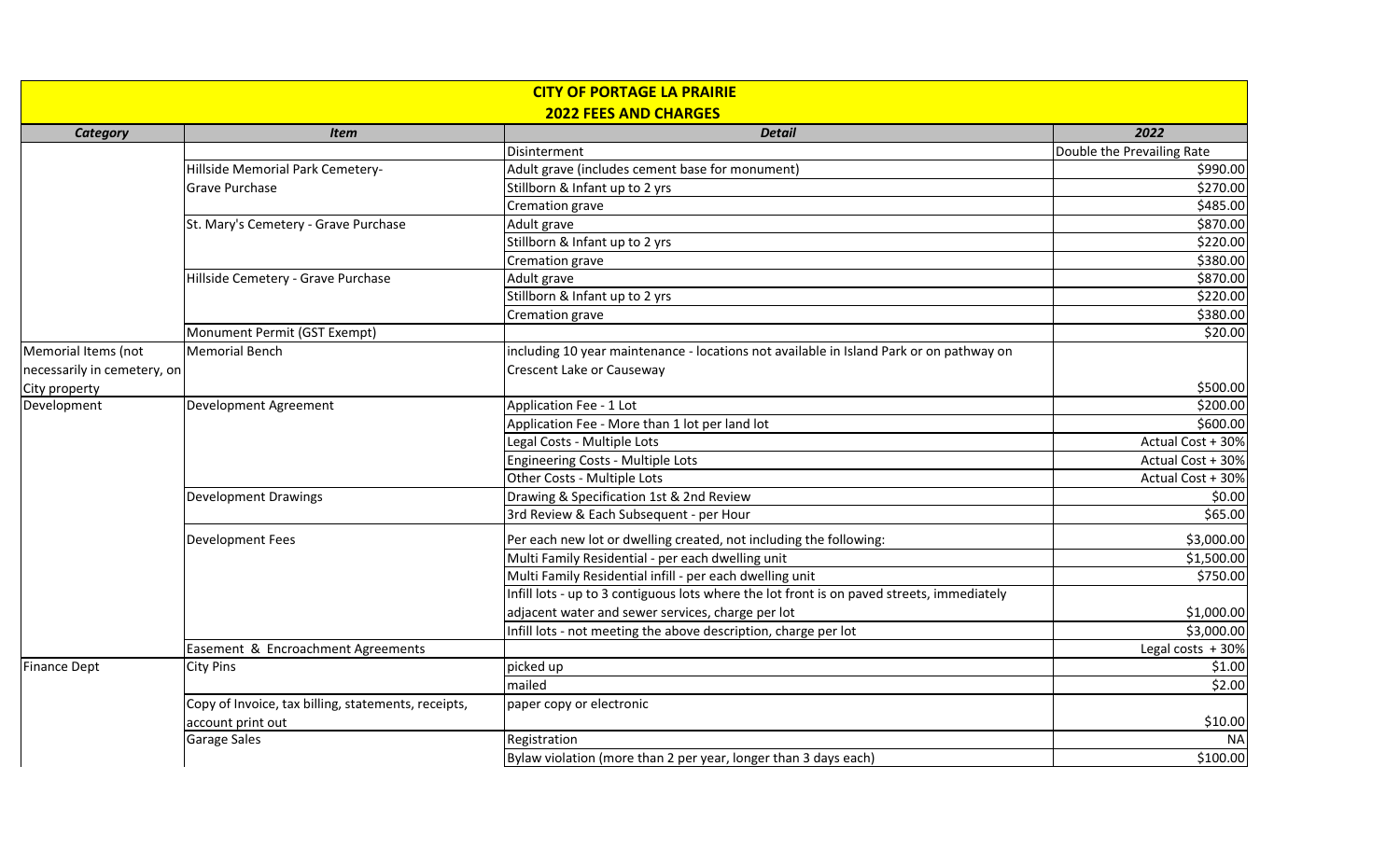| <b>CITY OF PORTAGE LA PRAIRIE</b><br><b>2022 FEES AND CHARGES</b> |                                                     |                                                                                            |                            |  |
|-------------------------------------------------------------------|-----------------------------------------------------|--------------------------------------------------------------------------------------------|----------------------------|--|
| <b>Category</b>                                                   | <b>Item</b>                                         | <b>Detail</b>                                                                              | 2022                       |  |
|                                                                   |                                                     | Disinterment                                                                               | Double the Prevailing Rate |  |
|                                                                   | Hillside Memorial Park Cemetery-                    | Adult grave (includes cement base for monument)                                            | \$990.00                   |  |
| <b>Grave Purchase</b>                                             |                                                     | Stillborn & Infant up to 2 yrs                                                             | \$270.00                   |  |
|                                                                   |                                                     | Cremation grave                                                                            | \$485.00                   |  |
|                                                                   | St. Mary's Cemetery - Grave Purchase                | Adult grave                                                                                | \$870.00                   |  |
|                                                                   |                                                     | Stillborn & Infant up to 2 yrs                                                             | \$220.00                   |  |
|                                                                   |                                                     | Cremation grave                                                                            | \$380.00                   |  |
|                                                                   | Hillside Cemetery - Grave Purchase                  | Adult grave                                                                                | \$870.00                   |  |
|                                                                   |                                                     | Stillborn & Infant up to 2 yrs                                                             | \$220.00                   |  |
|                                                                   |                                                     | Cremation grave                                                                            | \$380.00                   |  |
|                                                                   | Monument Permit (GST Exempt)                        |                                                                                            | \$20.00                    |  |
| Memorial Items (not                                               | <b>Memorial Bench</b>                               | including 10 year maintenance - locations not available in Island Park or on pathway on    |                            |  |
| necessarily in cemetery, on                                       |                                                     | Crescent Lake or Causeway                                                                  |                            |  |
| City property                                                     |                                                     |                                                                                            | \$500.00                   |  |
| Development                                                       | Development Agreement                               | Application Fee - 1 Lot                                                                    | \$200.00                   |  |
|                                                                   |                                                     | Application Fee - More than 1 lot per land lot                                             | \$600.00                   |  |
|                                                                   |                                                     | Legal Costs - Multiple Lots                                                                | Actual Cost + 30%          |  |
|                                                                   |                                                     | <b>Engineering Costs - Multiple Lots</b>                                                   | Actual Cost + 30%          |  |
|                                                                   |                                                     | Other Costs - Multiple Lots                                                                | Actual Cost + 30%          |  |
|                                                                   | <b>Development Drawings</b>                         | Drawing & Specification 1st & 2nd Review                                                   | \$0.00                     |  |
|                                                                   |                                                     | 3rd Review & Each Subsequent - per Hour                                                    | \$65.00                    |  |
|                                                                   | <b>Development Fees</b>                             | Per each new lot or dwelling created, not including the following:                         | \$3,000.00                 |  |
|                                                                   |                                                     | Multi Family Residential - per each dwelling unit                                          | \$1,500.00                 |  |
|                                                                   |                                                     | Multi Family Residential infill - per each dwelling unit                                   | \$750.00                   |  |
|                                                                   |                                                     | Infill lots - up to 3 contiguous lots where the lot front is on paved streets, immediately |                            |  |
|                                                                   |                                                     | adjacent water and sewer services, charge per lot                                          | \$1,000.00                 |  |
|                                                                   |                                                     | Infill lots - not meeting the above description, charge per lot                            | \$3,000.00                 |  |
|                                                                   | Easement & Encroachment Agreements                  |                                                                                            | Legal costs $+30%$         |  |
| <b>Finance Dept</b>                                               | <b>City Pins</b>                                    | picked up                                                                                  | \$1.00                     |  |
|                                                                   |                                                     | mailed                                                                                     | \$2.00                     |  |
|                                                                   | Copy of Invoice, tax billing, statements, receipts, | paper copy or electronic                                                                   |                            |  |
|                                                                   | account print out                                   |                                                                                            | \$10.00                    |  |
|                                                                   | <b>Garage Sales</b>                                 | Registration                                                                               | <b>NA</b>                  |  |
|                                                                   |                                                     | Bylaw violation (more than 2 per year, longer than 3 days each)                            | \$100.00                   |  |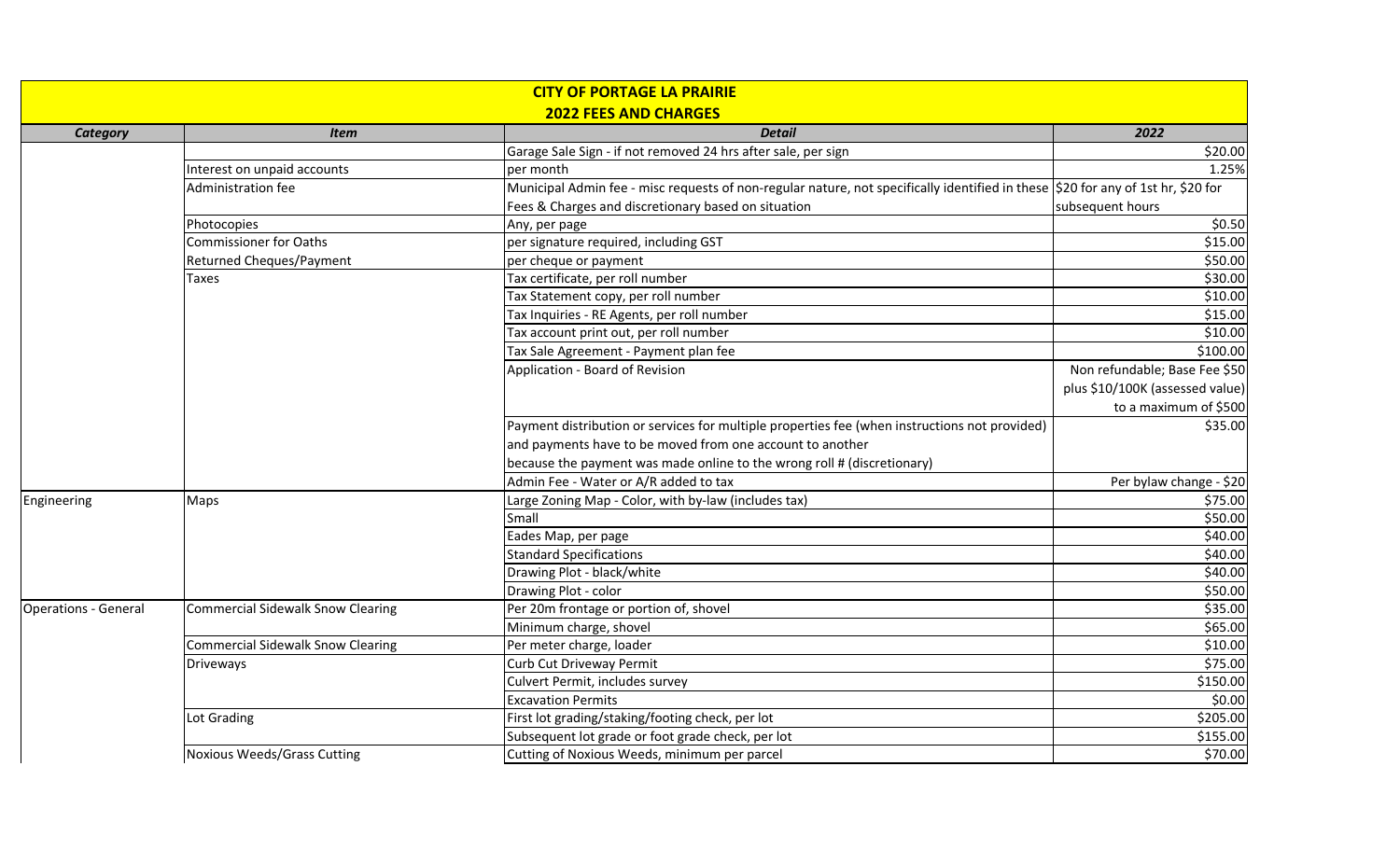| <b>CITY OF PORTAGE LA PRAIRIE</b> |                                          |                                                                                                                                  |                                 |  |  |  |
|-----------------------------------|------------------------------------------|----------------------------------------------------------------------------------------------------------------------------------|---------------------------------|--|--|--|
| <b>2022 FEES AND CHARGES</b>      |                                          |                                                                                                                                  |                                 |  |  |  |
| <b>Category</b>                   | <b>Item</b>                              | <b>Detail</b>                                                                                                                    | 2022                            |  |  |  |
|                                   |                                          | Garage Sale Sign - if not removed 24 hrs after sale, per sign                                                                    | \$20.00                         |  |  |  |
|                                   | Interest on unpaid accounts              | per month                                                                                                                        | 1.25%                           |  |  |  |
|                                   | Administration fee                       | Municipal Admin fee - misc requests of non-regular nature, not specifically identified in these \$20 for any of 1st hr, \$20 for |                                 |  |  |  |
|                                   |                                          | Fees & Charges and discretionary based on situation                                                                              | subsequent hours                |  |  |  |
|                                   | Photocopies                              | Any, per page                                                                                                                    | \$0.50                          |  |  |  |
|                                   | <b>Commissioner for Oaths</b>            | per signature required, including GST                                                                                            | \$15.00                         |  |  |  |
|                                   | Returned Cheques/Payment                 | per cheque or payment                                                                                                            | \$50.00                         |  |  |  |
|                                   | Taxes                                    | Tax certificate, per roll number                                                                                                 | \$30.00                         |  |  |  |
|                                   |                                          | Tax Statement copy, per roll number                                                                                              | \$10.00                         |  |  |  |
|                                   |                                          | Tax Inquiries - RE Agents, per roll number                                                                                       | \$15.00                         |  |  |  |
|                                   |                                          | Tax account print out, per roll number                                                                                           | \$10.00                         |  |  |  |
|                                   |                                          | Tax Sale Agreement - Payment plan fee                                                                                            | \$100.00                        |  |  |  |
|                                   |                                          | Application - Board of Revision                                                                                                  | Non refundable; Base Fee \$50   |  |  |  |
|                                   |                                          |                                                                                                                                  | plus \$10/100K (assessed value) |  |  |  |
|                                   |                                          |                                                                                                                                  | to a maximum of \$500           |  |  |  |
|                                   |                                          | Payment distribution or services for multiple properties fee (when instructions not provided)                                    | \$35.00                         |  |  |  |
|                                   |                                          | and payments have to be moved from one account to another                                                                        |                                 |  |  |  |
|                                   |                                          | because the payment was made online to the wrong roll # (discretionary)                                                          |                                 |  |  |  |
|                                   |                                          | Admin Fee - Water or A/R added to tax                                                                                            | Per bylaw change - \$20         |  |  |  |
| Engineering                       | Maps                                     | Large Zoning Map - Color, with by-law (includes tax)                                                                             | \$75.00                         |  |  |  |
|                                   |                                          | Small                                                                                                                            | \$50.00                         |  |  |  |
|                                   |                                          | Eades Map, per page                                                                                                              | \$40.00                         |  |  |  |
|                                   |                                          | <b>Standard Specifications</b>                                                                                                   | \$40.00                         |  |  |  |
|                                   |                                          | Drawing Plot - black/white                                                                                                       | \$40.00                         |  |  |  |
|                                   |                                          | Drawing Plot - color                                                                                                             | \$50.00                         |  |  |  |
| <b>Operations - General</b>       | <b>Commercial Sidewalk Snow Clearing</b> | Per 20m frontage or portion of, shovel                                                                                           | \$35.00                         |  |  |  |
|                                   |                                          | Minimum charge, shovel                                                                                                           | \$65.00                         |  |  |  |
|                                   | <b>Commercial Sidewalk Snow Clearing</b> | Per meter charge, loader                                                                                                         | \$10.00                         |  |  |  |
|                                   | <b>Driveways</b>                         | Curb Cut Driveway Permit                                                                                                         | \$75.00                         |  |  |  |
|                                   |                                          | Culvert Permit, includes survey                                                                                                  | \$150.00                        |  |  |  |
|                                   |                                          | <b>Excavation Permits</b>                                                                                                        | \$0.00                          |  |  |  |
|                                   | Lot Grading                              | First lot grading/staking/footing check, per lot                                                                                 | \$205.00                        |  |  |  |
|                                   |                                          | Subsequent lot grade or foot grade check, per lot                                                                                | \$155.00                        |  |  |  |
|                                   | Noxious Weeds/Grass Cutting              | Cutting of Noxious Weeds, minimum per parcel                                                                                     | \$70.00                         |  |  |  |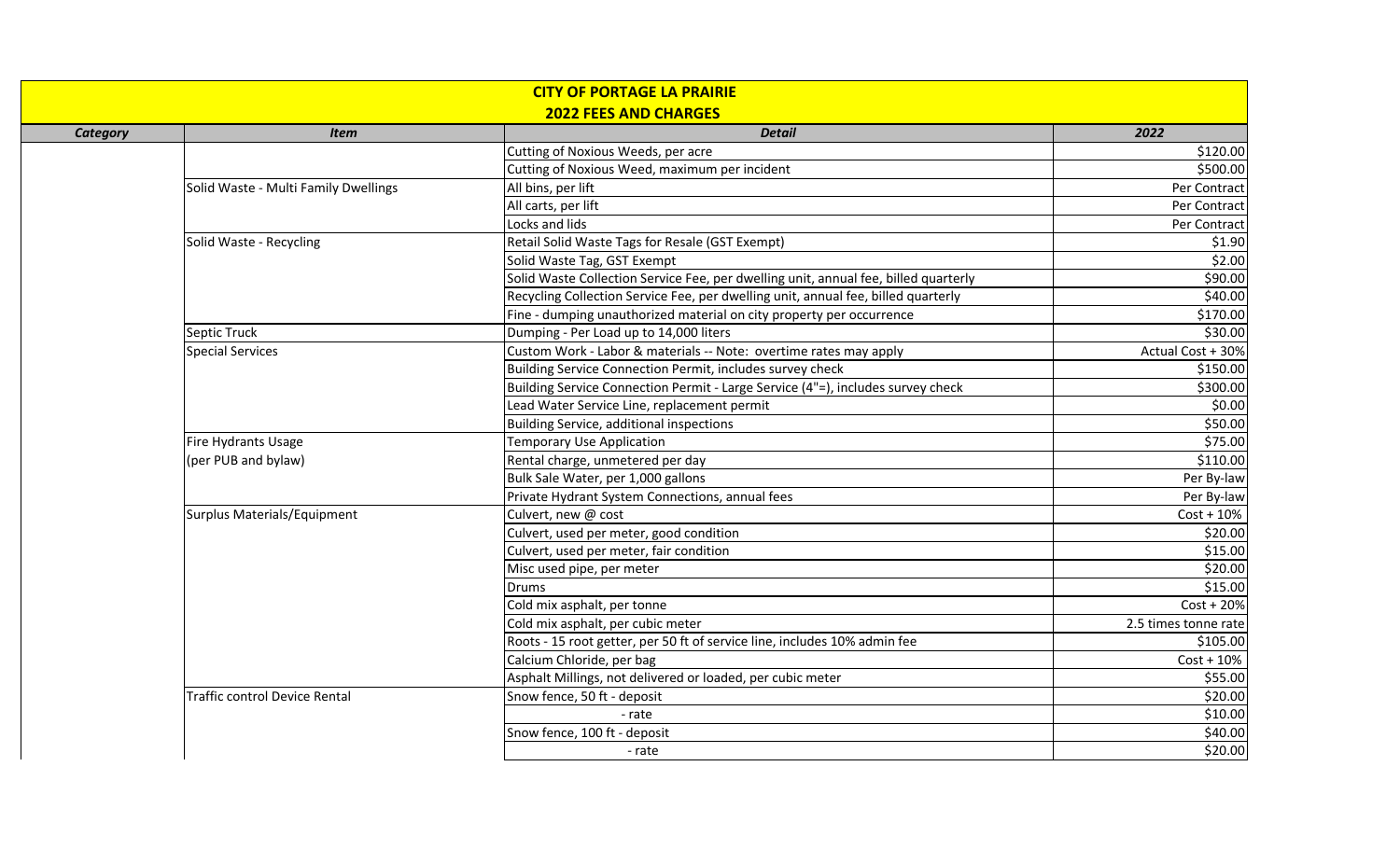| <b>CITY OF PORTAGE LA PRAIRIE</b><br><b>2022 FEES AND CHARGES</b> |                                      |                                                                                     |                      |  |
|-------------------------------------------------------------------|--------------------------------------|-------------------------------------------------------------------------------------|----------------------|--|
| <b>Category</b>                                                   | <b>Item</b>                          | <b>Detail</b>                                                                       | 2022                 |  |
|                                                                   |                                      | Cutting of Noxious Weeds, per acre                                                  | \$120.00             |  |
|                                                                   |                                      | Cutting of Noxious Weed, maximum per incident                                       | \$500.00             |  |
|                                                                   | Solid Waste - Multi Family Dwellings | All bins, per lift                                                                  | Per Contract         |  |
|                                                                   |                                      | All carts, per lift                                                                 | Per Contract         |  |
|                                                                   |                                      | Locks and lids                                                                      | Per Contract         |  |
|                                                                   | Solid Waste - Recycling              | Retail Solid Waste Tags for Resale (GST Exempt)                                     | \$1.90               |  |
|                                                                   |                                      | Solid Waste Tag, GST Exempt                                                         | \$2.00               |  |
|                                                                   |                                      | Solid Waste Collection Service Fee, per dwelling unit, annual fee, billed quarterly | \$90.00              |  |
|                                                                   |                                      | Recycling Collection Service Fee, per dwelling unit, annual fee, billed quarterly   | \$40.00              |  |
|                                                                   |                                      | Fine - dumping unauthorized material on city property per occurrence                | \$170.00             |  |
|                                                                   | Septic Truck                         | Dumping - Per Load up to 14,000 liters                                              | \$30.00              |  |
|                                                                   | <b>Special Services</b>              | Custom Work - Labor & materials -- Note: overtime rates may apply                   | Actual Cost + 30%    |  |
|                                                                   |                                      | Building Service Connection Permit, includes survey check                           | \$150.00             |  |
|                                                                   |                                      | Building Service Connection Permit - Large Service (4"=), includes survey check     | \$300.00             |  |
|                                                                   |                                      | Lead Water Service Line, replacement permit                                         | \$0.00               |  |
|                                                                   |                                      | Building Service, additional inspections                                            | \$50.00              |  |
|                                                                   | Fire Hydrants Usage                  | <b>Temporary Use Application</b>                                                    | \$75.00              |  |
|                                                                   | (per PUB and bylaw)                  | Rental charge, unmetered per day                                                    | \$110.00             |  |
|                                                                   |                                      | Bulk Sale Water, per 1,000 gallons                                                  | Per By-law           |  |
|                                                                   |                                      | Private Hydrant System Connections, annual fees                                     | Per By-law           |  |
|                                                                   | Surplus Materials/Equipment          | Culvert, new @ cost                                                                 | $Cost + 10%$         |  |
|                                                                   |                                      | Culvert, used per meter, good condition                                             | \$20.00              |  |
|                                                                   |                                      | Culvert, used per meter, fair condition                                             | \$15.00              |  |
|                                                                   |                                      | Misc used pipe, per meter                                                           | \$20.00              |  |
|                                                                   |                                      | Drums                                                                               | \$15.00              |  |
|                                                                   |                                      | Cold mix asphalt, per tonne                                                         | $Cost + 20%$         |  |
|                                                                   |                                      | Cold mix asphalt, per cubic meter                                                   | 2.5 times tonne rate |  |
|                                                                   |                                      | Roots - 15 root getter, per 50 ft of service line, includes 10% admin fee           | \$105.00             |  |
|                                                                   |                                      | Calcium Chloride, per bag                                                           | $Cost + 10%$         |  |
|                                                                   |                                      | Asphalt Millings, not delivered or loaded, per cubic meter                          | \$55.00              |  |
|                                                                   | <b>Traffic control Device Rental</b> | Snow fence, 50 ft - deposit                                                         | \$20.00              |  |
|                                                                   |                                      | - rate                                                                              | \$10.00              |  |
|                                                                   |                                      | Snow fence, 100 ft - deposit                                                        | \$40.00              |  |
|                                                                   |                                      | - rate                                                                              | \$20.00              |  |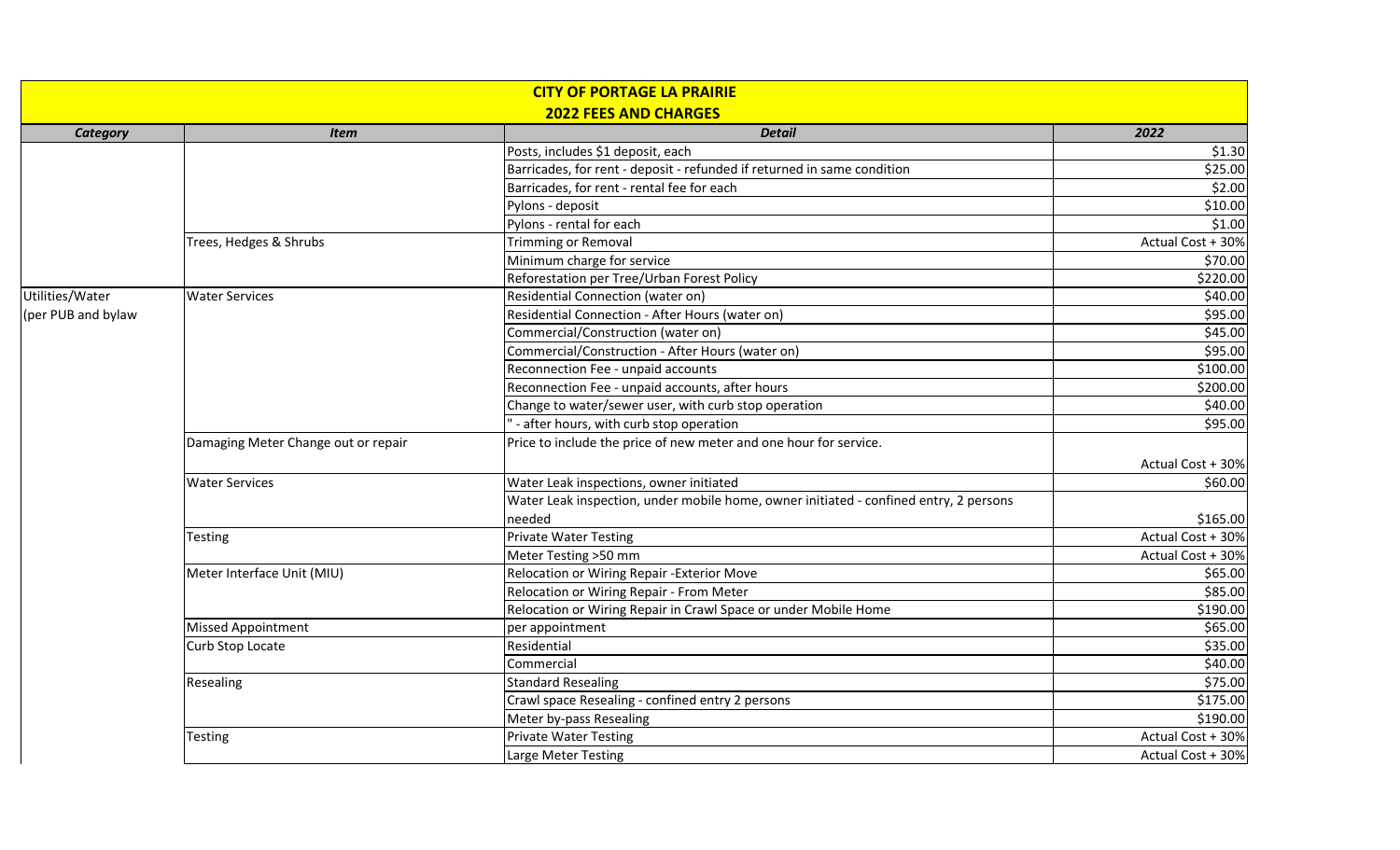| <b>CITY OF PORTAGE LA PRAIRIE</b><br><b>2022 FEES AND CHARGES</b> |                                     |                                                                                       |                   |  |
|-------------------------------------------------------------------|-------------------------------------|---------------------------------------------------------------------------------------|-------------------|--|
| <b>Category</b>                                                   | <b>Item</b>                         | <b>Detail</b>                                                                         | 2022              |  |
|                                                                   |                                     | Posts, includes \$1 deposit, each                                                     | \$1.30            |  |
|                                                                   |                                     | Barricades, for rent - deposit - refunded if returned in same condition               | \$25.00           |  |
|                                                                   |                                     | Barricades, for rent - rental fee for each                                            | \$2.00            |  |
|                                                                   |                                     | Pylons - deposit                                                                      | \$10.00           |  |
|                                                                   |                                     | Pylons - rental for each                                                              | \$1.00            |  |
|                                                                   | Trees, Hedges & Shrubs              | <b>Trimming or Removal</b>                                                            | Actual Cost + 30% |  |
|                                                                   |                                     | Minimum charge for service                                                            | \$70.00           |  |
|                                                                   |                                     | Reforestation per Tree/Urban Forest Policy                                            | \$220.00          |  |
| Utilities/Water                                                   | <b>Water Services</b>               | Residential Connection (water on)                                                     | \$40.00           |  |
| (per PUB and bylaw                                                |                                     | Residential Connection - After Hours (water on)                                       | \$95.00           |  |
|                                                                   |                                     | Commercial/Construction (water on)                                                    | \$45.00           |  |
|                                                                   |                                     | Commercial/Construction - After Hours (water on)                                      | \$95.00           |  |
|                                                                   |                                     | Reconnection Fee - unpaid accounts                                                    | \$100.00          |  |
|                                                                   |                                     | Reconnection Fee - unpaid accounts, after hours                                       | \$200.00          |  |
|                                                                   |                                     | Change to water/sewer user, with curb stop operation                                  | \$40.00           |  |
|                                                                   |                                     | - after hours, with curb stop operation                                               | \$95.00           |  |
|                                                                   | Damaging Meter Change out or repair | Price to include the price of new meter and one hour for service.                     |                   |  |
|                                                                   |                                     |                                                                                       | Actual Cost + 30% |  |
|                                                                   | <b>Water Services</b>               | Water Leak inspections, owner initiated                                               | \$60.00           |  |
|                                                                   |                                     | Water Leak inspection, under mobile home, owner initiated - confined entry, 2 persons |                   |  |
|                                                                   |                                     | needed                                                                                | \$165.00          |  |
|                                                                   | <b>Testing</b>                      | <b>Private Water Testing</b>                                                          | Actual Cost + 30% |  |
|                                                                   |                                     | Meter Testing >50 mm                                                                  | Actual Cost + 30% |  |
|                                                                   | Meter Interface Unit (MIU)          | Relocation or Wiring Repair - Exterior Move                                           | \$65.00           |  |
|                                                                   |                                     | Relocation or Wiring Repair - From Meter                                              | \$85.00           |  |
|                                                                   |                                     | Relocation or Wiring Repair in Crawl Space or under Mobile Home                       | \$190.00          |  |
|                                                                   | <b>Missed Appointment</b>           | per appointment                                                                       | \$65.00           |  |
|                                                                   | Curb Stop Locate                    | Residential                                                                           | \$35.00           |  |
|                                                                   |                                     | Commercial                                                                            | \$40.00           |  |
|                                                                   | Resealing                           | <b>Standard Resealing</b>                                                             | \$75.00           |  |
|                                                                   |                                     | Crawl space Resealing - confined entry 2 persons                                      | \$175.00          |  |
|                                                                   |                                     | Meter by-pass Resealing                                                               | \$190.00          |  |
|                                                                   | <b>Testing</b>                      | <b>Private Water Testing</b>                                                          | Actual Cost + 30% |  |
|                                                                   |                                     | Large Meter Testing                                                                   | Actual Cost + 30% |  |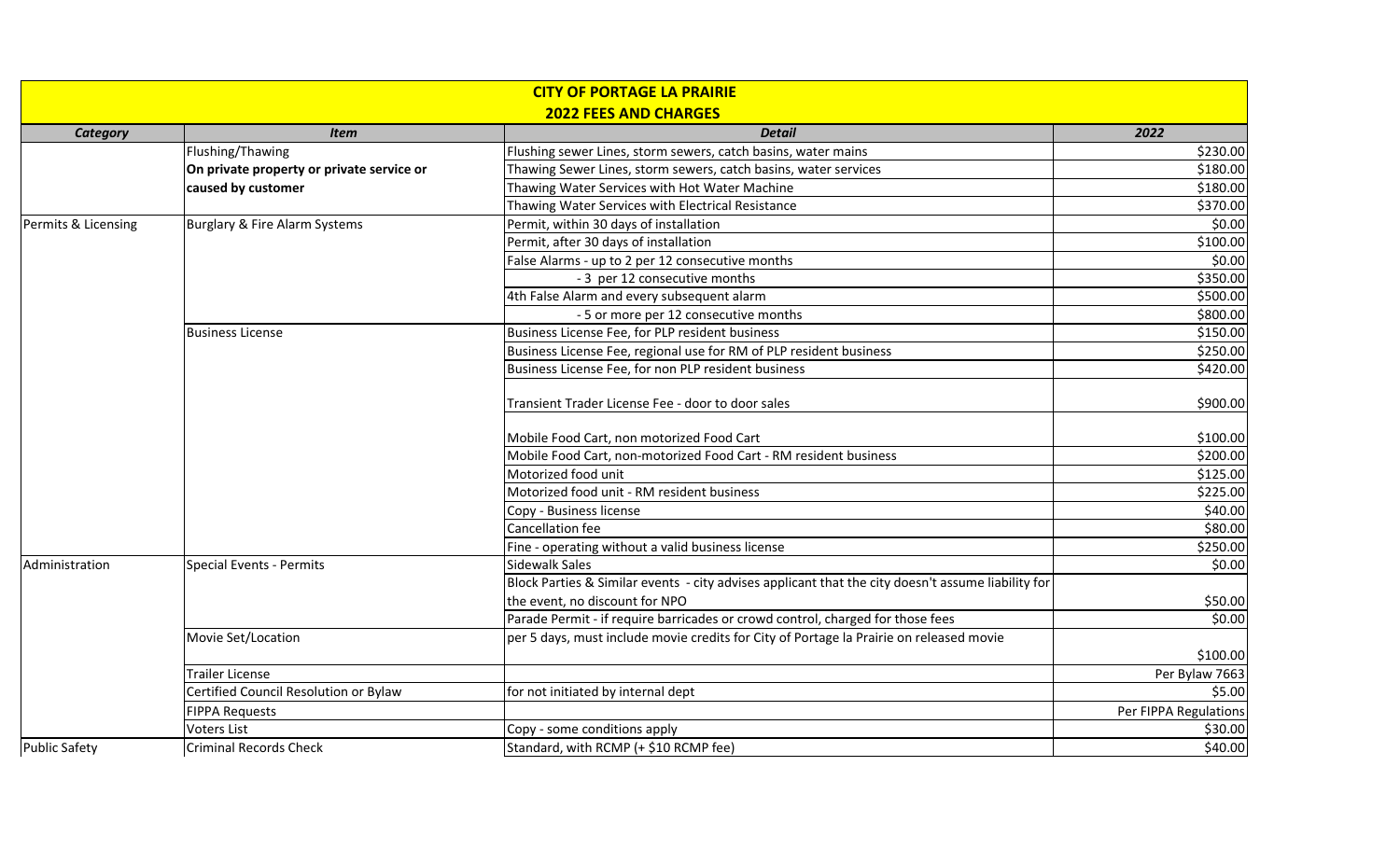| <b>CITY OF PORTAGE LA PRAIRIE</b><br><b>2022 FEES AND CHARGES</b> |                                           |                                                                                                    |                            |  |  |
|-------------------------------------------------------------------|-------------------------------------------|----------------------------------------------------------------------------------------------------|----------------------------|--|--|
| <b>Category</b>                                                   | <b>Item</b>                               | <b>Detail</b>                                                                                      | 2022                       |  |  |
|                                                                   | Flushing/Thawing                          | Flushing sewer Lines, storm sewers, catch basins, water mains                                      | \$230.00                   |  |  |
|                                                                   | On private property or private service or | Thawing Sewer Lines, storm sewers, catch basins, water services                                    | \$180.00                   |  |  |
|                                                                   | caused by customer                        | Thawing Water Services with Hot Water Machine                                                      | \$180.00                   |  |  |
|                                                                   |                                           | Thawing Water Services with Electrical Resistance                                                  | \$370.00                   |  |  |
| Permits & Licensing                                               | Burglary & Fire Alarm Systems             | Permit, within 30 days of installation                                                             | \$0.00                     |  |  |
|                                                                   |                                           | Permit, after 30 days of installation                                                              | \$100.00                   |  |  |
|                                                                   |                                           | False Alarms - up to 2 per 12 consecutive months                                                   | \$0.00                     |  |  |
|                                                                   |                                           | - 3 per 12 consecutive months                                                                      | \$350.00                   |  |  |
|                                                                   |                                           | 4th False Alarm and every subsequent alarm                                                         | \$500.00                   |  |  |
|                                                                   |                                           | - 5 or more per 12 consecutive months                                                              | \$800.00                   |  |  |
|                                                                   | <b>Business License</b>                   | Business License Fee, for PLP resident business                                                    | \$150.00                   |  |  |
|                                                                   |                                           | Business License Fee, regional use for RM of PLP resident business                                 | \$250.00                   |  |  |
|                                                                   |                                           | Business License Fee, for non PLP resident business                                                | \$420.00                   |  |  |
|                                                                   |                                           | Transient Trader License Fee - door to door sales                                                  | \$900.00                   |  |  |
|                                                                   |                                           | Mobile Food Cart, non motorized Food Cart                                                          | \$100.00                   |  |  |
|                                                                   |                                           | Mobile Food Cart, non-motorized Food Cart - RM resident business                                   | \$200.00                   |  |  |
|                                                                   |                                           | Motorized food unit                                                                                | \$125.00                   |  |  |
|                                                                   |                                           | Motorized food unit - RM resident business                                                         | \$225.00                   |  |  |
|                                                                   |                                           | Copy - Business license                                                                            | \$40.00                    |  |  |
|                                                                   |                                           | Cancellation fee                                                                                   | \$80.00                    |  |  |
|                                                                   |                                           | Fine - operating without a valid business license                                                  | \$250.00                   |  |  |
| Administration                                                    | <b>Special Events - Permits</b>           | Sidewalk Sales                                                                                     | \$0.00                     |  |  |
|                                                                   |                                           | Block Parties & Similar events - city advises applicant that the city doesn't assume liability for |                            |  |  |
|                                                                   |                                           | the event, no discount for NPO                                                                     | \$50.00                    |  |  |
|                                                                   |                                           | Parade Permit - if require barricades or crowd control, charged for those fees                     | \$0.00                     |  |  |
|                                                                   | Movie Set/Location                        | per 5 days, must include movie credits for City of Portage la Prairie on released movie            |                            |  |  |
|                                                                   | Trailer License                           |                                                                                                    | \$100.00<br>Per Bylaw 7663 |  |  |
|                                                                   | Certified Council Resolution or Bylaw     | for not initiated by internal dept                                                                 | \$5.00                     |  |  |
|                                                                   | <b>FIPPA Requests</b>                     |                                                                                                    | Per FIPPA Regulations      |  |  |
|                                                                   | <b>Voters List</b>                        | Copy - some conditions apply                                                                       | \$30.00                    |  |  |
| <b>Public Safety</b>                                              | <b>Criminal Records Check</b>             | Standard, with RCMP (+ \$10 RCMP fee)                                                              | \$40.00                    |  |  |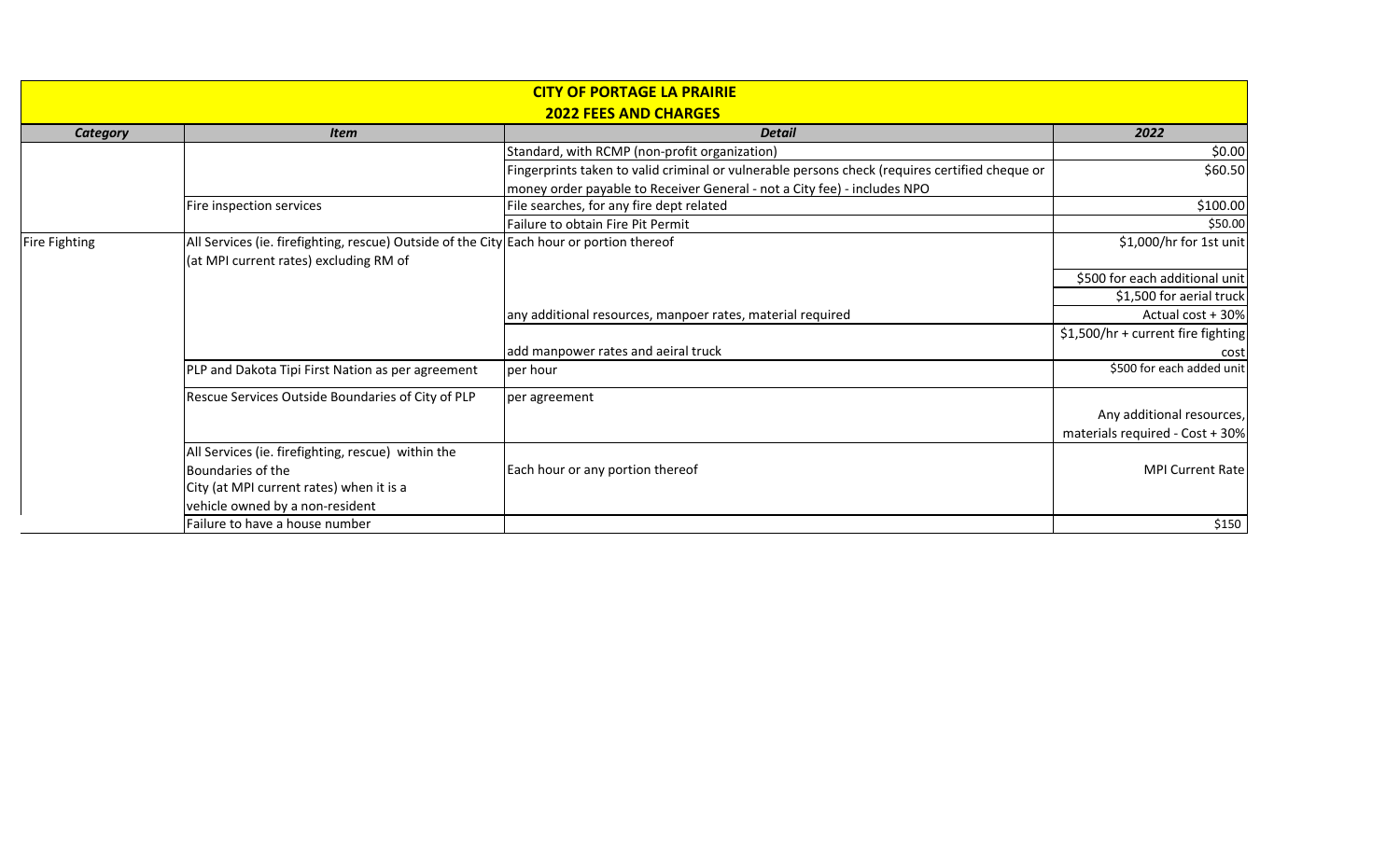|                 |                                                                                          | <b>CITY OF PORTAGE LA PRAIRIE</b>                                                              |                                    |  |  |  |  |
|-----------------|------------------------------------------------------------------------------------------|------------------------------------------------------------------------------------------------|------------------------------------|--|--|--|--|
|                 | <b>2022 FEES AND CHARGES</b>                                                             |                                                                                                |                                    |  |  |  |  |
| <b>Category</b> | <b>Item</b>                                                                              | <b>Detail</b>                                                                                  | 2022                               |  |  |  |  |
|                 |                                                                                          | Standard, with RCMP (non-profit organization)                                                  | \$0.00                             |  |  |  |  |
|                 |                                                                                          | Fingerprints taken to valid criminal or vulnerable persons check (requires certified cheque or | \$60.50                            |  |  |  |  |
|                 |                                                                                          | money order payable to Receiver General - not a City fee) - includes NPO                       |                                    |  |  |  |  |
|                 | Fire inspection services                                                                 | File searches, for any fire dept related                                                       | \$100.00                           |  |  |  |  |
|                 |                                                                                          | Failure to obtain Fire Pit Permit                                                              | \$50.00                            |  |  |  |  |
| Fire Fighting   | All Services (ie. firefighting, rescue) Outside of the City Each hour or portion thereof |                                                                                                | \$1,000/hr for 1st unit            |  |  |  |  |
|                 | (at MPI current rates) excluding RM of                                                   |                                                                                                |                                    |  |  |  |  |
|                 |                                                                                          |                                                                                                | \$500 for each additional unit     |  |  |  |  |
|                 |                                                                                          |                                                                                                | \$1,500 for aerial truck           |  |  |  |  |
|                 |                                                                                          | any additional resources, manpoer rates, material required                                     | Actual cost + 30%                  |  |  |  |  |
|                 |                                                                                          |                                                                                                | \$1,500/hr + current fire fighting |  |  |  |  |
|                 |                                                                                          | add manpower rates and aeiral truck                                                            | cost                               |  |  |  |  |
|                 | PLP and Dakota Tipi First Nation as per agreement                                        | per hour                                                                                       | \$500 for each added unit          |  |  |  |  |
|                 | Rescue Services Outside Boundaries of City of PLP                                        | per agreement                                                                                  |                                    |  |  |  |  |
|                 |                                                                                          |                                                                                                | Any additional resources,          |  |  |  |  |
|                 |                                                                                          |                                                                                                | materials required - Cost + 30%    |  |  |  |  |
|                 | All Services (ie. firefighting, rescue) within the                                       |                                                                                                |                                    |  |  |  |  |
|                 | Boundaries of the                                                                        | Each hour or any portion thereof                                                               | <b>MPI Current Rate</b>            |  |  |  |  |
|                 | City (at MPI current rates) when it is a                                                 |                                                                                                |                                    |  |  |  |  |
|                 | vehicle owned by a non-resident                                                          |                                                                                                |                                    |  |  |  |  |
|                 | Failure to have a house number                                                           |                                                                                                | \$150                              |  |  |  |  |